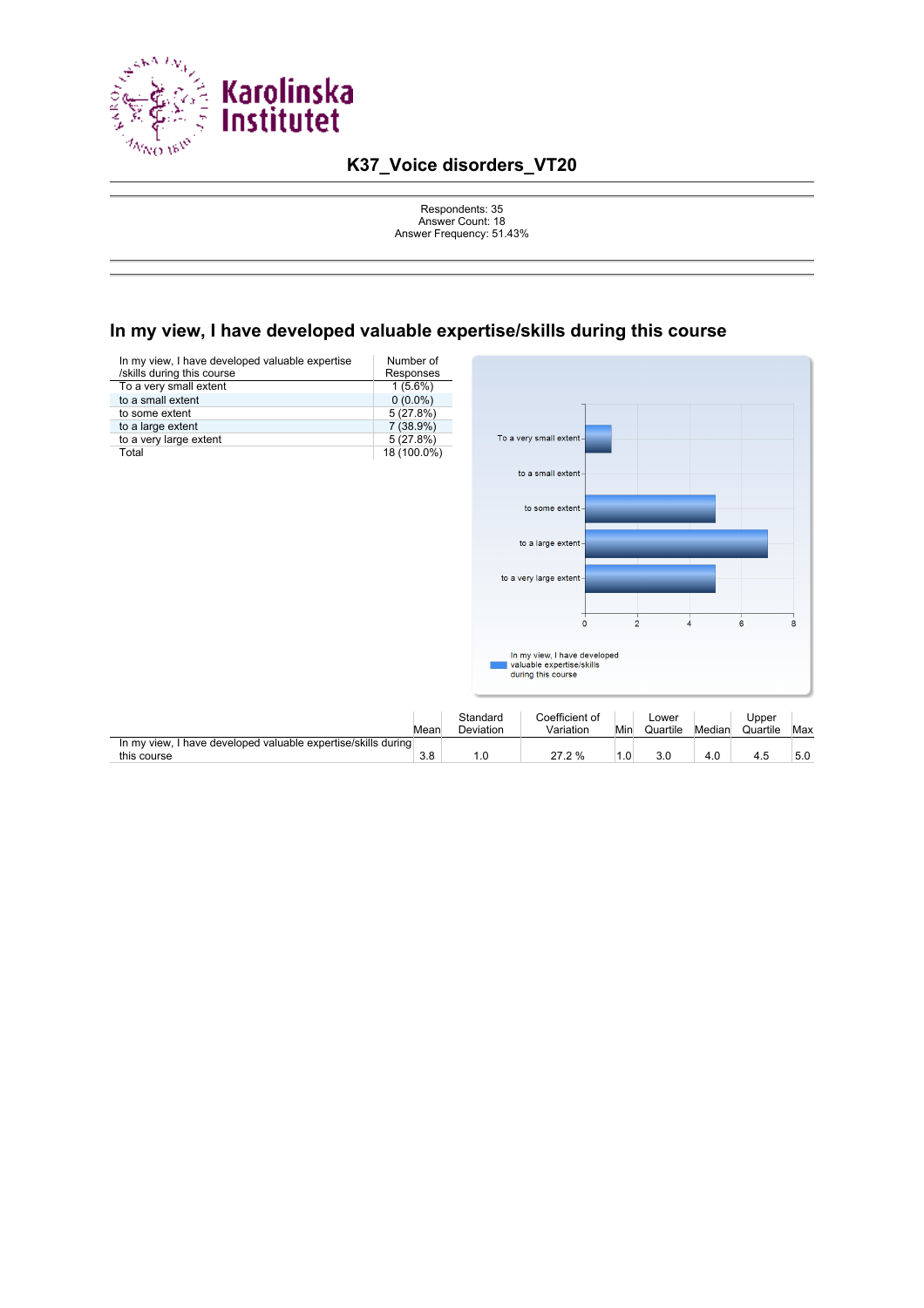

# **K37\_Voice disorders\_VT20**

Respondents: 35 Answer Count: 18 Answer Frequency: 51.43%

# **In my view, I have developed valuable expertise/skills during this course**

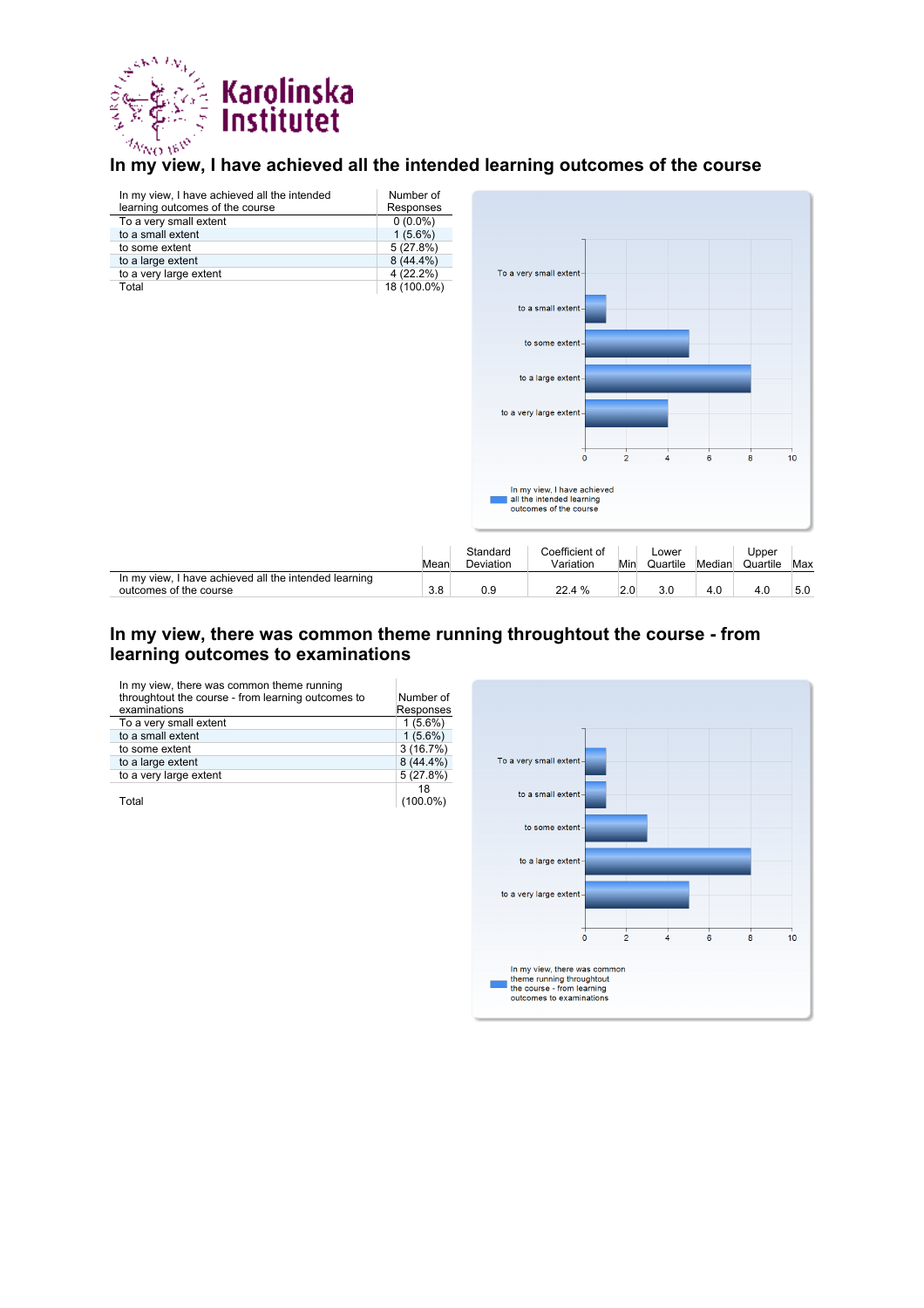

# **In my view, I have achieved all the intended learning outcomes of the course late my view, I have achieved all the intended learning outcomes of the course**

| In my view, I have achieved all the intended | Number of   |
|----------------------------------------------|-------------|
| learning outcomes of the course              | Responses   |
| To a very small extent                       | $0(0.0\%)$  |
| to a small extent                            | $1(5.6\%)$  |
| to some extent                               | 5(27.8%)    |
| to a large extent                            | $8(44.4\%)$ |
| to a very large extent                       | $4(22.2\%)$ |
| Total                                        | 18 (100.0%) |



|                                                                                 | Mear | Standard<br>Deviation | Coefficient of<br>Variation | Min | _ower<br>Quartile | Median | Upper<br>Quartile | Max |
|---------------------------------------------------------------------------------|------|-----------------------|-----------------------------|-----|-------------------|--------|-------------------|-----|
| In my view, I have achieved all the intended learning<br>outcomes of the course | 3.8  | 0.9                   | 22.4 %                      |     |                   | 4.0    |                   | 5.0 |

#### **In my view, there was common theme running throughtout the course - from learning outcomes to examinations**

In my view, there was common theme running throughtout the course - from learning outcomes to examinations Number of Responses<br>1 (5.6%) To a very small extent  $\qquad \qquad$  1 (5.6%) to a small extent 1 (5.6%)<br>to some extent 3 (16.7%) to some extent  $\begin{array}{r} 3 (16.7\%) \\ 3 (44.4\%) \end{array}$ to a large extent  $8(44.4\%)$ <br>to a very large extent  $5(27.8\%)$ to a very large extent Total 18  $(100.0\%)$ 

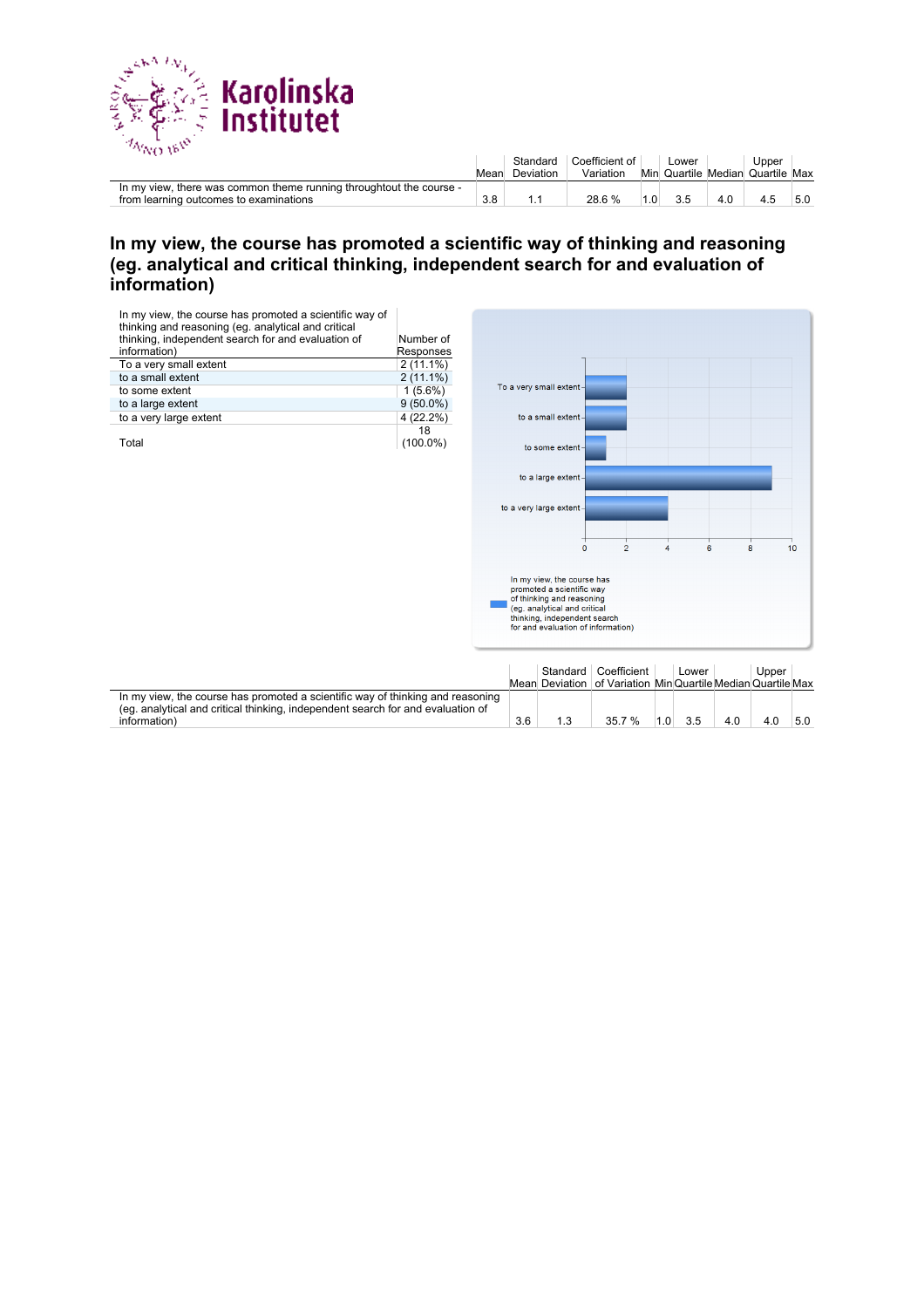

|                                                                     | Mean | Standard<br><b>Deviation</b> | Coefficient of<br>Variation | Lower | Upper<br>Min Quartile Median Quartile Max |     |
|---------------------------------------------------------------------|------|------------------------------|-----------------------------|-------|-------------------------------------------|-----|
| In my view, there was common theme running throughtout the course - |      |                              |                             |       |                                           |     |
| from learning outcomes to examinations                              | 3.8  |                              | 28.6 %                      |       |                                           | 5.0 |

### **In my view, the course has promoted a scientific way of thinking and reasoning (eg. analytical and critical thinking, independent search for and evaluation of information)**

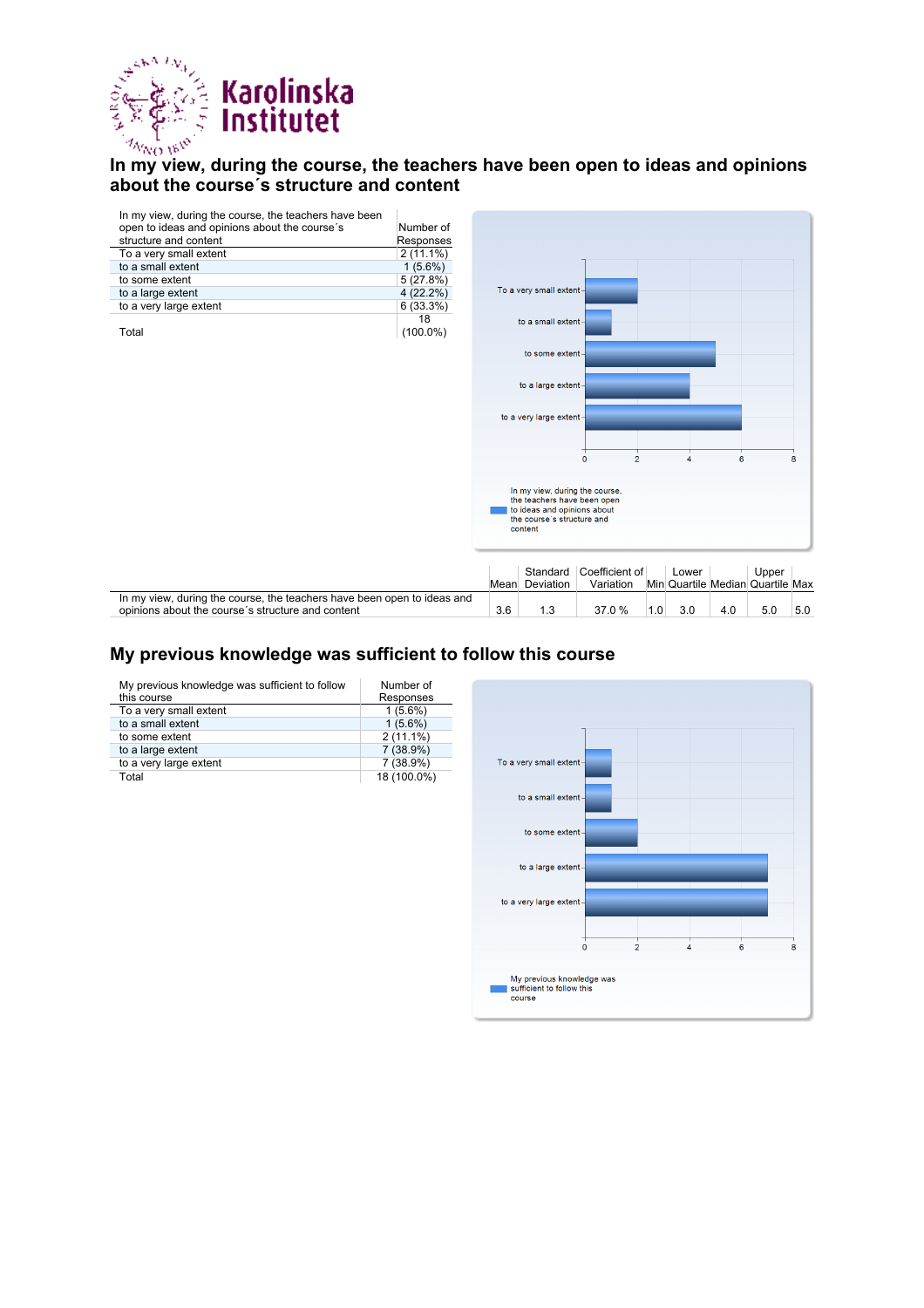

# **In my view, during the course, the teachers have been open to ideas and opinions about the course´s structure and content**

In my view, during the course, the teachers have been

| open to ideas and opinions about the course's | Number of   |
|-----------------------------------------------|-------------|
| structure and content                         | Responses   |
| To a very small extent                        | $2(11.1\%)$ |
| to a small extent                             | $1(5.6\%)$  |
| to some extent                                | 5(27.8%)    |
| to a large extent                             | $4(22.2\%)$ |
| to a very large extent                        | 6(33.3%)    |
|                                               | 18          |
| Total                                         | $(100.0\%)$ |
|                                               |             |



|                                                                         |     |                | Standard Coefficient of<br>Lower |     |                                  |     | Upper |     |
|-------------------------------------------------------------------------|-----|----------------|----------------------------------|-----|----------------------------------|-----|-------|-----|
|                                                                         |     | Mean Deviation | Variation                        |     | Min Quartile Median Quartile Max |     |       |     |
| In my view, during the course, the teachers have been open to ideas and |     |                |                                  |     |                                  |     |       |     |
| opinions about the course's structure and content                       | 3.6 |                | 37.0 %                           | 1.0 |                                  | 4.0 | 5.0   | 5.0 |

# **My previous knowledge was sufficient to follow this course**

| My previous knowledge was sufficient to follow<br>this course | Number of<br>Responses |
|---------------------------------------------------------------|------------------------|
| To a very small extent                                        | $1(5.6\%)$             |
| to a small extent                                             | $1(5.6\%)$             |
| to some extent                                                | $2(11.1\%)$            |
| to a large extent                                             | 7(38.9%)               |
| to a very large extent                                        | 7(38.9%)               |
| Total                                                         | 18 (100.0%)            |

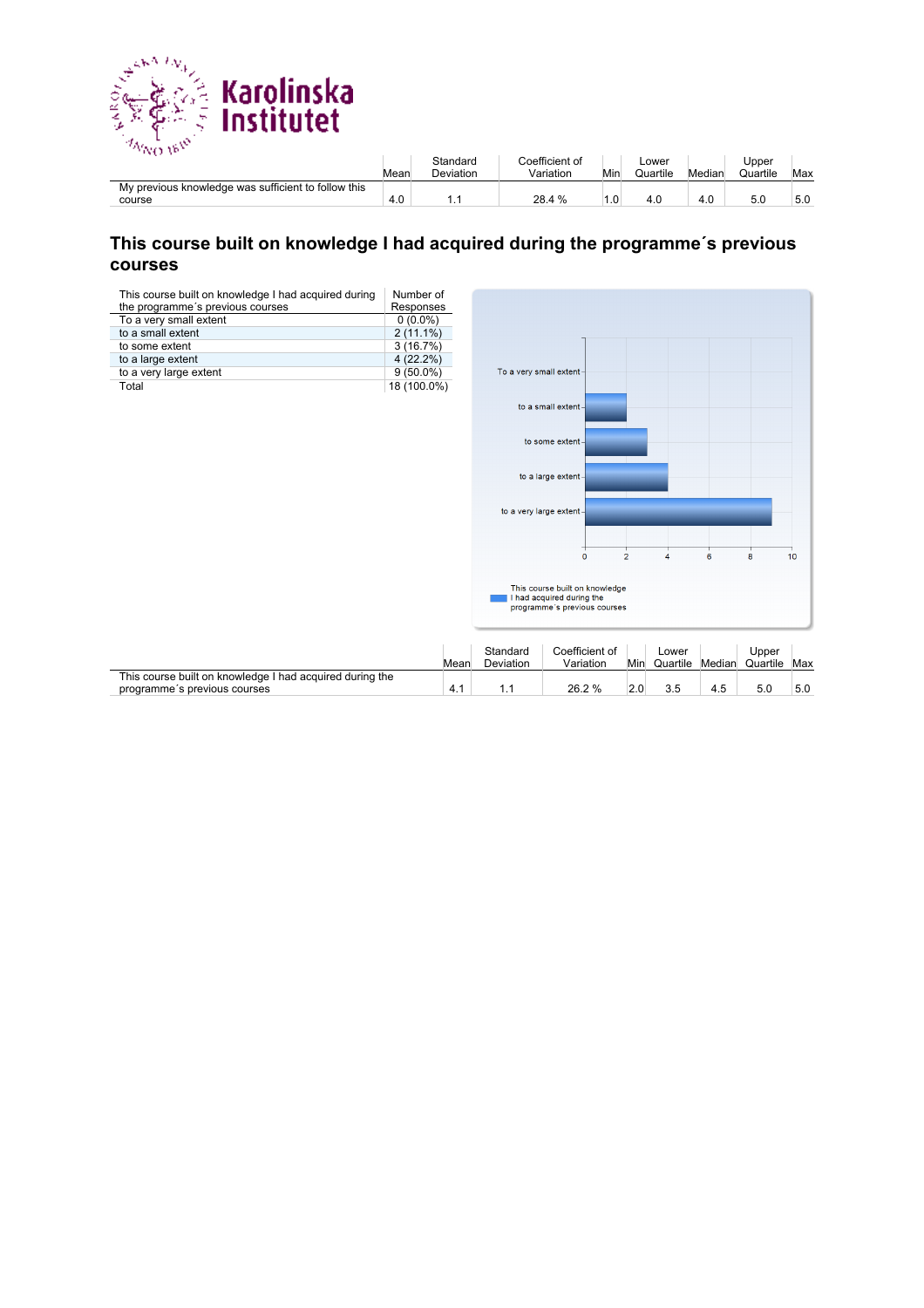

| .                                                   | Mean | Standard<br>Deviation | ∴oefficient of<br>Variation | Min | Lower<br>Quartile | Median | Jpper<br>Quartile | Max |
|-----------------------------------------------------|------|-----------------------|-----------------------------|-----|-------------------|--------|-------------------|-----|
| My previous knowledge was sufficient to follow this |      |                       |                             |     |                   |        |                   |     |
| course                                              | 4.0  | . .                   | 28.4 %                      | ı.u | 4.0               | 4.C    | ง.u               | 5.U |

# **This course built on knowledge I had acquired during the programme´s previous courses**

| This course built on knowledge I had acquired during<br>the programme's previous courses | Number of<br>Responses |
|------------------------------------------------------------------------------------------|------------------------|
| To a very small extent                                                                   | $0(0.0\%)$             |
| to a small extent                                                                        | $2(11.1\%)$            |
| to some extent                                                                           | 3(16.7%)               |
| to a large extent                                                                        | $4(22.2\%)$            |
| to a very large extent                                                                   | $9(50.0\%)$            |
| Total                                                                                    | 18 (100.0%)            |
|                                                                                          |                        |



|                                                                                          | Mean | Standaro<br>Deviation | Coefficient of<br>Variation | Min | _ower<br>Quartile | Median | Upper<br>Quartile | Max |
|------------------------------------------------------------------------------------------|------|-----------------------|-----------------------------|-----|-------------------|--------|-------------------|-----|
| This course built on knowledge I had acquired during the<br>programme's previous courses | 4.1  |                       | 26.2 %                      |     |                   | 4.5    |                   | 5.0 |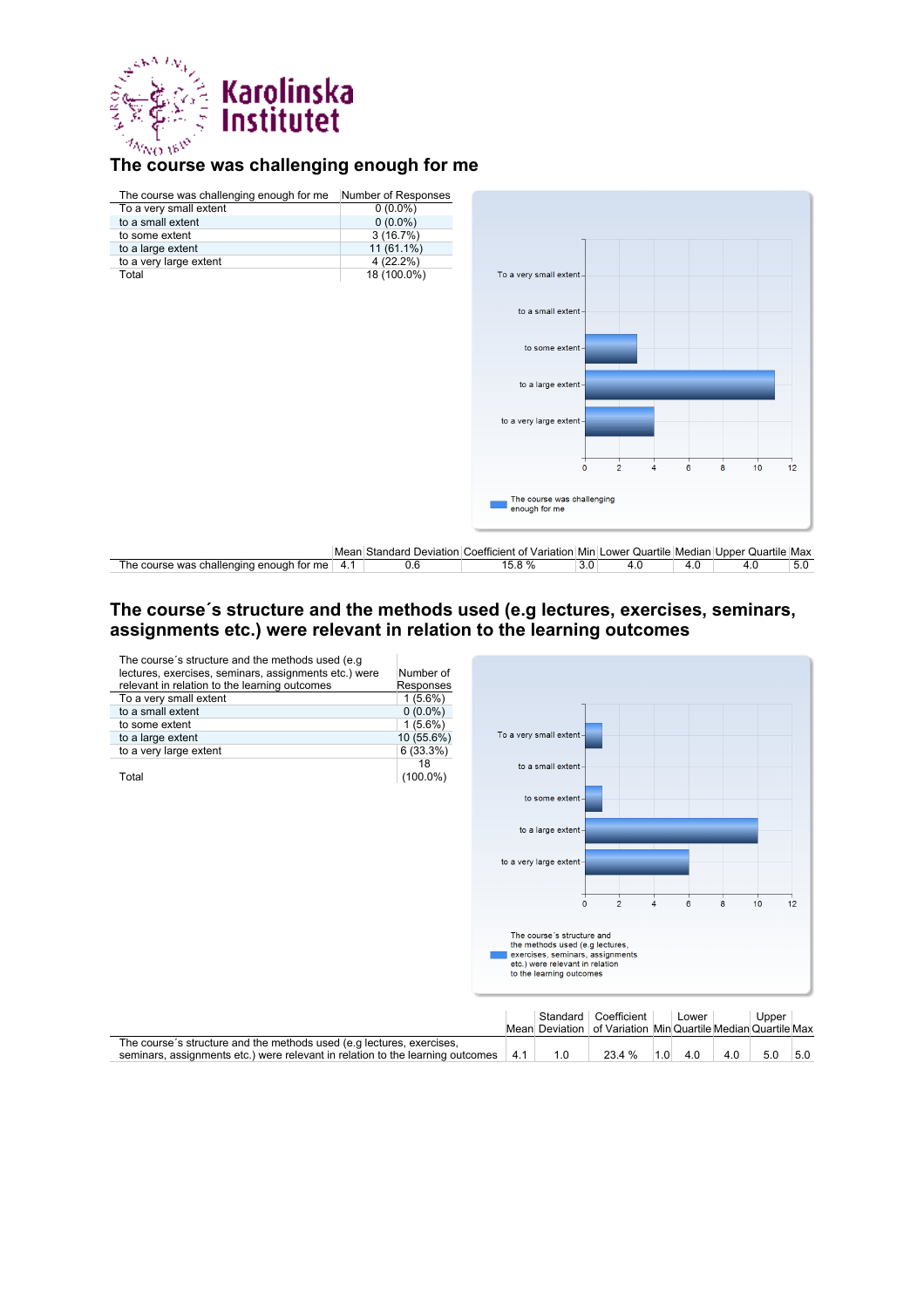

# **The course was challenging enough for me**



### **The course´s structure and the methods used (e.g lectures, exercises, seminars, assignments etc.) were relevant in relation to the learning outcomes**

| The course's structure and the methods used (e.g.<br>lectures, exercises, seminars, assignments etc.) were                                              | Number of         |     |                                                                                                                                                                  |                                                              |     |       |     |       |     |
|---------------------------------------------------------------------------------------------------------------------------------------------------------|-------------------|-----|------------------------------------------------------------------------------------------------------------------------------------------------------------------|--------------------------------------------------------------|-----|-------|-----|-------|-----|
| relevant in relation to the learning outcomes                                                                                                           | Responses         |     |                                                                                                                                                                  |                                                              |     |       |     |       |     |
| To a very small extent                                                                                                                                  | $1(5.6\%)$        |     |                                                                                                                                                                  |                                                              |     |       |     |       |     |
| to a small extent                                                                                                                                       | $0(0.0\%)$        |     |                                                                                                                                                                  |                                                              |     |       |     |       |     |
| to some extent                                                                                                                                          | $1(5.6\%)$        |     |                                                                                                                                                                  |                                                              |     |       |     |       |     |
| to a large extent                                                                                                                                       | 10 (55.6%)        |     | To a very small extent-                                                                                                                                          |                                                              |     |       |     |       |     |
| to a very large extent                                                                                                                                  | 6(33.3%)          |     |                                                                                                                                                                  |                                                              |     |       |     |       |     |
| Total                                                                                                                                                   | 18<br>$(100.0\%)$ |     | to a small extent.                                                                                                                                               |                                                              |     |       |     |       |     |
|                                                                                                                                                         |                   |     | to some extent-                                                                                                                                                  |                                                              |     |       |     |       |     |
|                                                                                                                                                         |                   |     | to a large extent-                                                                                                                                               |                                                              |     |       |     |       |     |
|                                                                                                                                                         |                   |     | to a very large extent-                                                                                                                                          |                                                              |     |       |     |       |     |
|                                                                                                                                                         |                   |     |                                                                                                                                                                  |                                                              |     |       |     |       |     |
|                                                                                                                                                         |                   |     | $\mathbf{0}$                                                                                                                                                     | $\overline{2}$                                               |     | 6     | 8   | 10    | 12  |
|                                                                                                                                                         |                   |     | The course's structure and<br>the methods used (e.g lectures,<br>exercises, seminars, assignments<br>etc.) were relevant in relation<br>to the learning outcomes |                                                              |     |       |     |       |     |
|                                                                                                                                                         |                   |     | Standard<br>Mean Deviation                                                                                                                                       | Coefficient<br>of Variation Min Quartile Median Quartile Max |     | Lower |     | Upper |     |
| The course's structure and the methods used (e.g lectures, exercises,<br>seminars, assignments etc.) were relevant in relation to the learning outcomes |                   | 4.1 | 1.0                                                                                                                                                              | 23.4 %                                                       | 1.0 | 4.0   | 4.0 | 5.0   | 5.0 |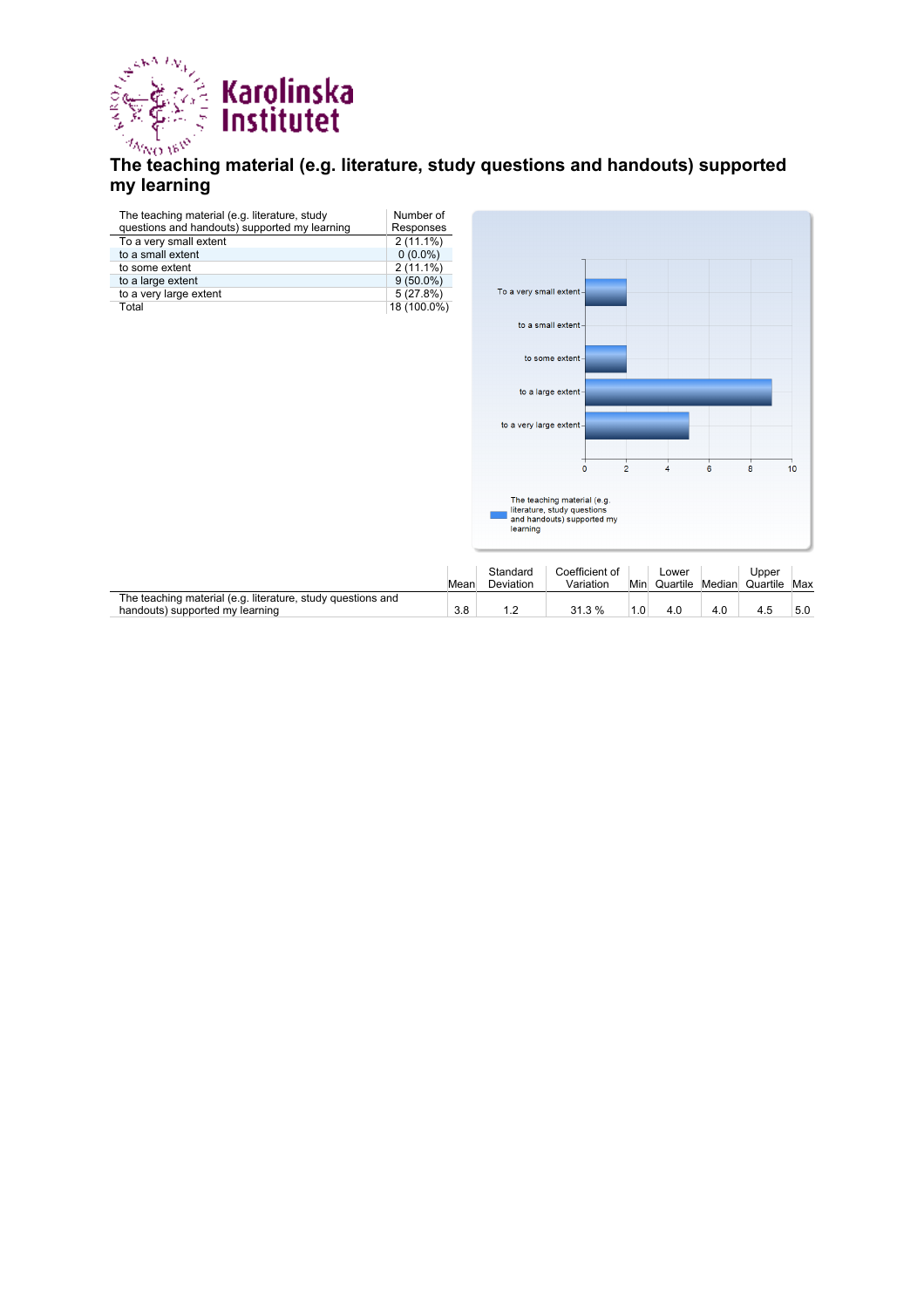

َ<sup>َ *The* teaching material (e.g. literature, study questions and handouts) supported</sup> **my learning** 

| The teaching material (e.g. literature, study | Number of   |
|-----------------------------------------------|-------------|
| questions and handouts) supported my learning | Responses   |
| To a very small extent                        | $2(11.1\%)$ |
| to a small extent                             | $0(0.0\%)$  |
| to some extent                                | $2(11.1\%)$ |
| to a large extent                             | $9(50.0\%)$ |
| to a very large extent                        | 5(27.8%)    |
| Total                                         | 18 (100.0%) |



|                                                                                                | Mear | Standard<br>Deviation | Coefficient of<br>Variation | Min | ∟ower<br>Quartile | Median | Upper<br>Quartile | Max |
|------------------------------------------------------------------------------------------------|------|-----------------------|-----------------------------|-----|-------------------|--------|-------------------|-----|
| The teaching material (e.g. literature, study questions and<br>handouts) supported my learning |      |                       | 31.3%                       | .U  | 4.0               | 4.0    |                   | 5.0 |
|                                                                                                |      |                       |                             |     |                   |        |                   |     |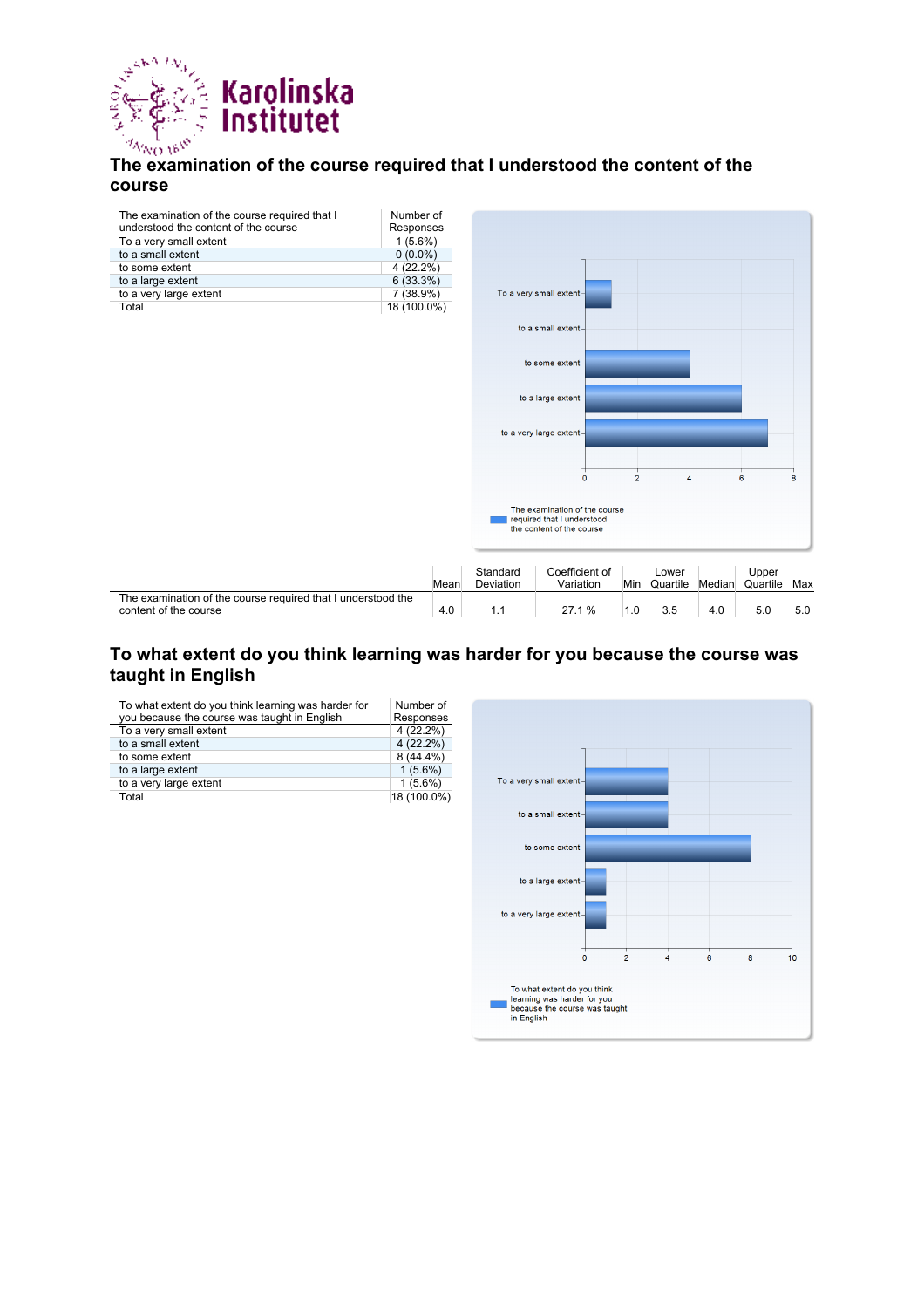

# َ<sup>آَلِ</sup>نَ اللَّهُ ٱلْعَلَيْةِ ٱلْعَلَيْةِ ٱلْعَلَيْةِ ٱلْعَلَيْةِ ٱلْعَلَيْةِ ٱلْعَلَيْةِ and a streem of the course required that I understood the content of the **course**

| The examination of the course required that I | Number of   |                            |
|-----------------------------------------------|-------------|----------------------------|
| understood the content of the course          | Responses   |                            |
| To a very small extent                        | $1(5.6\%)$  |                            |
| to a small extent                             | $0(0.0\%)$  |                            |
| to some extent                                | $4(22.2\%)$ |                            |
| to a large extent                             | 6(33.3%)    |                            |
| to a very large extent                        | 7 (38.9%)   | To a very small extent $-$ |
| Total                                         | 18 (100.0%) |                            |
|                                               |             | to a small extent-         |
|                                               |             | to some extent $-$         |
|                                               |             |                            |
|                                               |             | to a large extent          |

|                                                                                       |      | The examination of the course<br>required that I understood<br>the content of the course |                             |     |                   |        |                   |     |
|---------------------------------------------------------------------------------------|------|------------------------------------------------------------------------------------------|-----------------------------|-----|-------------------|--------|-------------------|-----|
|                                                                                       | Mean | Standard<br>Deviation                                                                    | Coefficient of<br>Variation | Min | Lower<br>Quartile | Median | Upper<br>Quartile | Max |
| The examination of the course required that I understood the<br>content of the course | 4.0  | 1.1                                                                                      | 27.1 %                      | 1.0 | 3.5               | 4.0    | 5.0               | 5.0 |

to a very large extent

### **To what extent do you think learning was harder for you because the course was taught in English**

| To what extent do you think learning was harder for | Number of   |
|-----------------------------------------------------|-------------|
| you because the course was taught in English        | Responses   |
| To a very small extent                              | $4(22.2\%)$ |
| to a small extent                                   | $4(22.2\%)$ |
| to some extent                                      | 8 (44.4%)   |
| to a large extent                                   | $1(5.6\%)$  |
| to a very large extent                              | $1(5.6\%)$  |
| Total                                               | 18 (100.0%) |



 $\overline{2}$ 

 $\ddot{\mathbf{o}}$ 

 $\overline{4}$ 

 $\ddot{\bf{6}}$ 

 $\overline{\mathbf{8}}$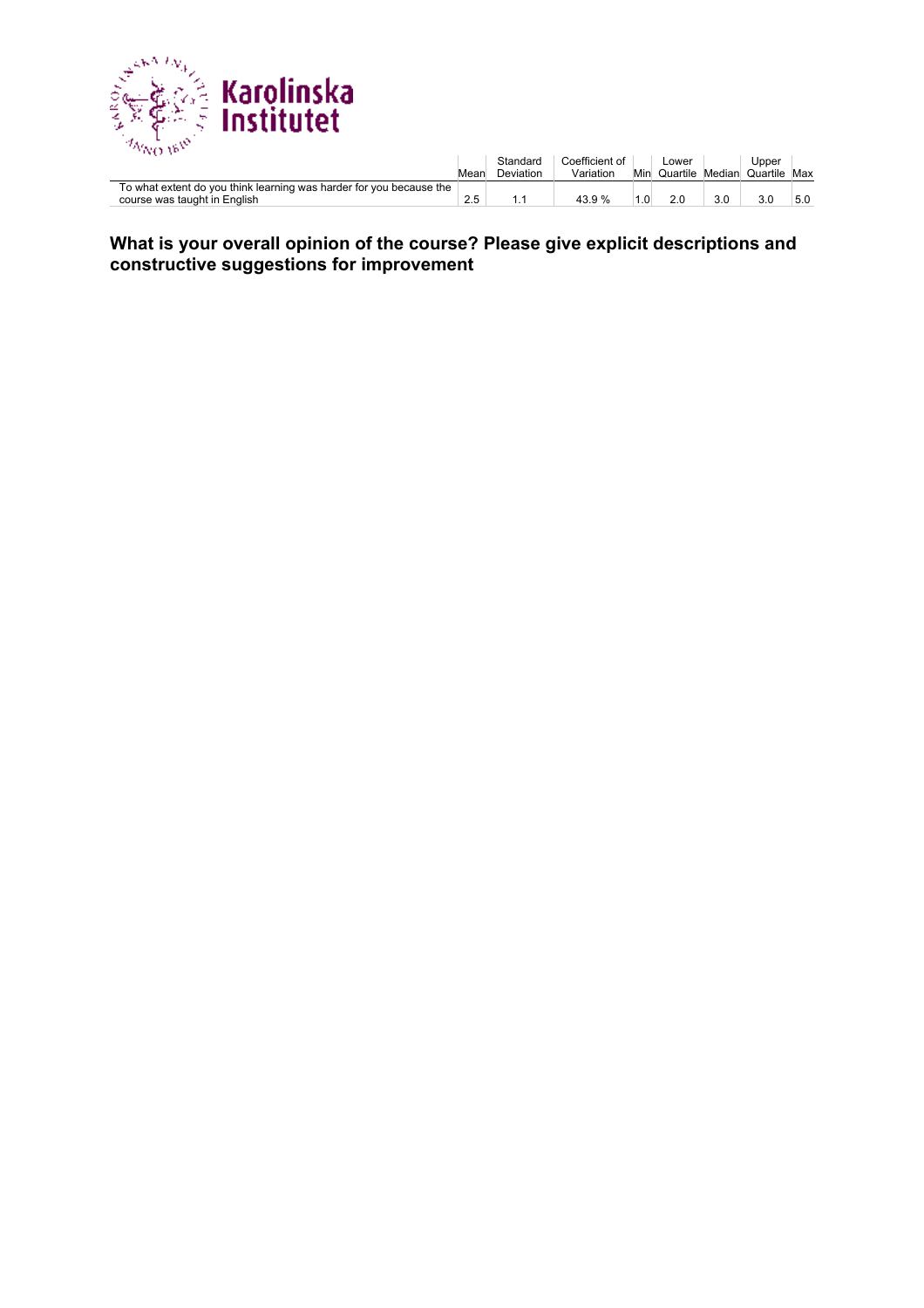

|                                                                     |      | Standard  | Coefficient of |     | ∟ower           | Upper        |     |
|---------------------------------------------------------------------|------|-----------|----------------|-----|-----------------|--------------|-----|
|                                                                     | Mean | Deviation | Variation      | Min | Quartile Median | Quartile Max |     |
| To what extent do you think learning was harder for you because the |      |           |                |     |                 |              |     |
| course was taught in English                                        |      |           | 43.9%          |     |                 |              | 5.0 |

**What is your overall opinion of the course? Please give explicit descriptions and constructive suggestions for improvement**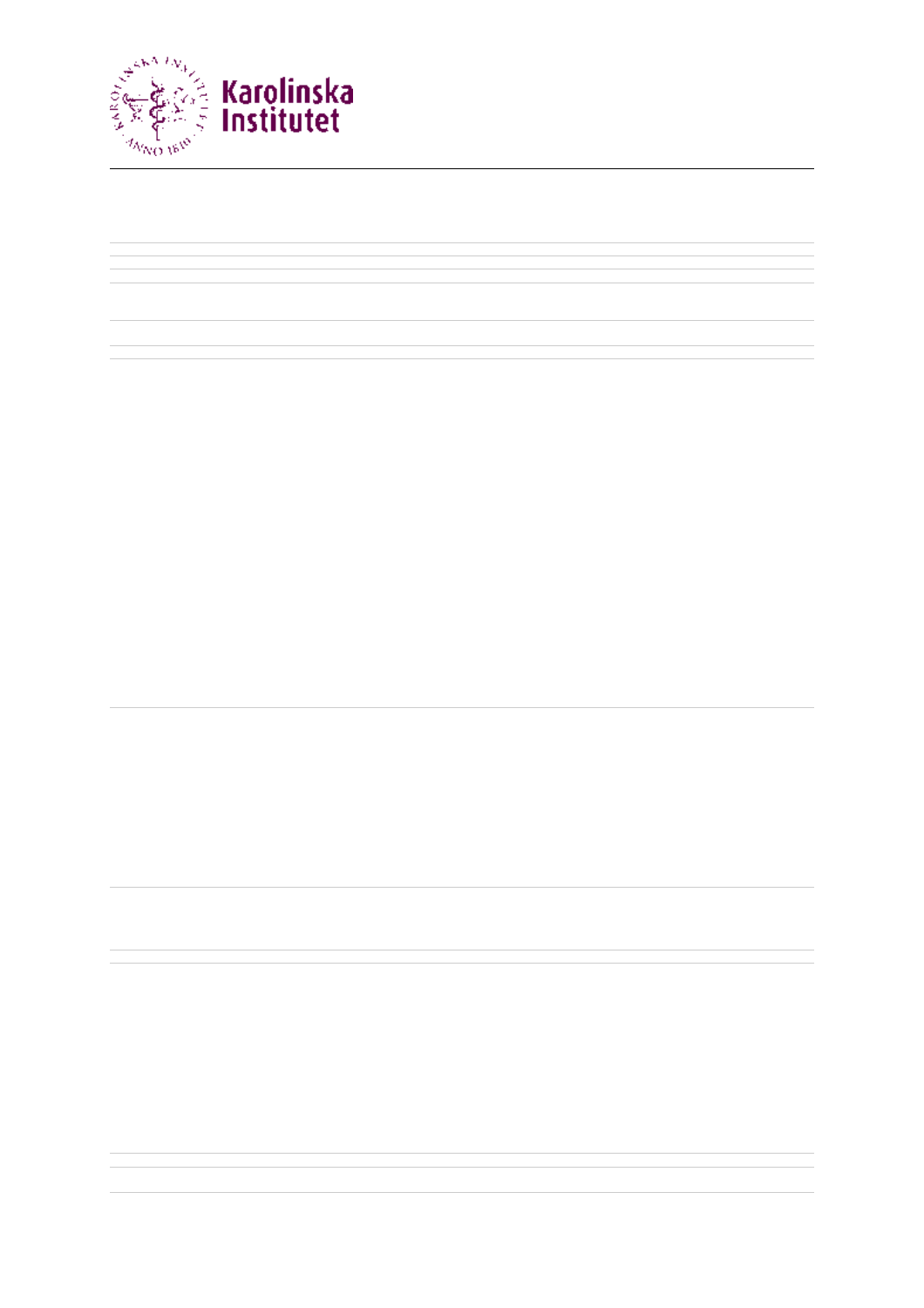